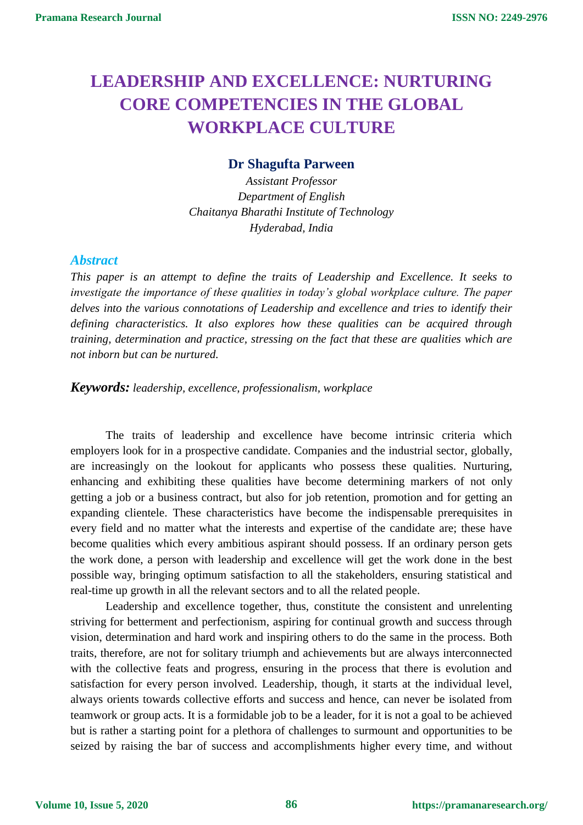# **LEADERSHIP AND EXCELLENCE: NURTURING CORE COMPETENCIES IN THE GLOBAL WORKPLACE CULTURE**

## **Dr Shagufta Parween**

*Assistant Professor Department of English Chaitanya Bharathi Institute of Technology Hyderabad, India*

## *Abstract*

*This paper is an attempt to define the traits of Leadership and Excellence. It seeks to investigate the importance of these qualities in today's global workplace culture. The paper delves into the various connotations of Leadership and excellence and tries to identify their defining characteristics. It also explores how these qualities can be acquired through training, determination and practice, stressing on the fact that these are qualities which are not inborn but can be nurtured.*

### *Keywords: leadership, excellence, professionalism, workplace*

The traits of leadership and excellence have become intrinsic criteria which employers look for in a prospective candidate. Companies and the industrial sector, globally, are increasingly on the lookout for applicants who possess these qualities. Nurturing, enhancing and exhibiting these qualities have become determining markers of not only getting a job or a business contract, but also for job retention, promotion and for getting an expanding clientele. These characteristics have become the indispensable prerequisites in every field and no matter what the interests and expertise of the candidate are; these have become qualities which every ambitious aspirant should possess. If an ordinary person gets the work done, a person with leadership and excellence will get the work done in the best possible way, bringing optimum satisfaction to all the stakeholders, ensuring statistical and real-time up growth in all the relevant sectors and to all the related people.

Leadership and excellence together, thus, constitute the consistent and unrelenting striving for betterment and perfectionism, aspiring for continual growth and success through vision, determination and hard work and inspiring others to do the same in the process. Both traits, therefore, are not for solitary triumph and achievements but are always interconnected with the collective feats and progress, ensuring in the process that there is evolution and satisfaction for every person involved. Leadership, though, it starts at the individual level, always orients towards collective efforts and success and hence, can never be isolated from teamwork or group acts. It is a formidable job to be a leader, for it is not a goal to be achieved but is rather a starting point for a plethora of challenges to surmount and opportunities to be seized by raising the bar of success and accomplishments higher every time, and without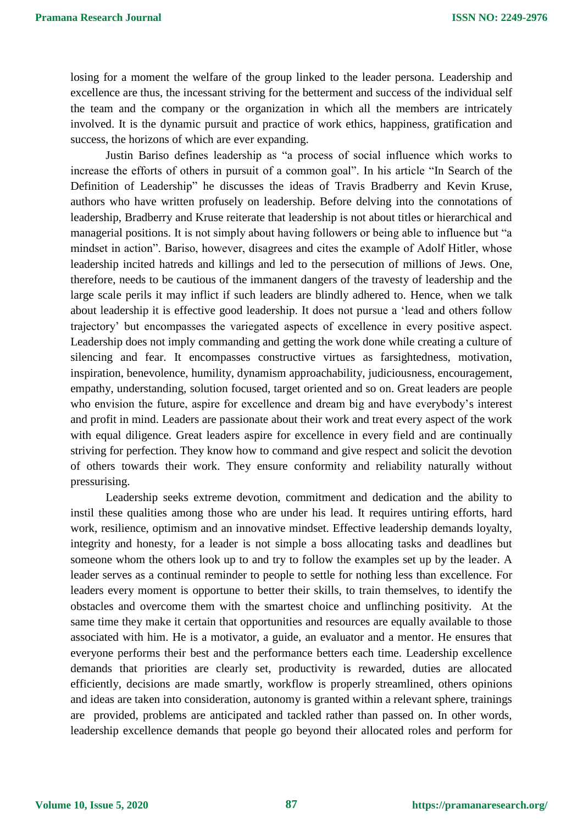losing for a moment the welfare of the group linked to the leader persona. Leadership and excellence are thus, the incessant striving for the betterment and success of the individual self the team and the company or the organization in which all the members are intricately involved. It is the dynamic pursuit and practice of work ethics, happiness, gratification and success, the horizons of which are ever expanding.

Justin Bariso defines leadership as "a process of social influence which works to increase the efforts of others in pursuit of a common goal". In his article "In Search of the Definition of Leadership" he discusses the ideas of Travis Bradberry and Kevin Kruse, authors who have written profusely on leadership. Before delving into the connotations of leadership, Bradberry and Kruse reiterate that leadership is not about titles or hierarchical and managerial positions. It is not simply about having followers or being able to influence but "a mindset in action". Bariso, however, disagrees and cites the example of Adolf Hitler, whose leadership incited hatreds and killings and led to the persecution of millions of Jews. One, therefore, needs to be cautious of the immanent dangers of the travesty of leadership and the large scale perils it may inflict if such leaders are blindly adhered to. Hence, when we talk about leadership it is effective good leadership. It does not pursue a 'lead and others follow trajectory' but encompasses the variegated aspects of excellence in every positive aspect. Leadership does not imply commanding and getting the work done while creating a culture of silencing and fear. It encompasses constructive virtues as farsightedness, motivation, inspiration, benevolence, humility, dynamism approachability, judiciousness, encouragement, empathy, understanding, solution focused, target oriented and so on. Great leaders are people who envision the future, aspire for excellence and dream big and have everybody's interest and profit in mind. Leaders are passionate about their work and treat every aspect of the work with equal diligence. Great leaders aspire for excellence in every field and are continually striving for perfection. They know how to command and give respect and solicit the devotion of others towards their work. They ensure conformity and reliability naturally without pressurising.

Leadership seeks extreme devotion, commitment and dedication and the ability to instil these qualities among those who are under his lead. It requires untiring efforts, hard work, resilience, optimism and an innovative mindset. Effective leadership demands loyalty, integrity and honesty, for a leader is not simple a boss allocating tasks and deadlines but someone whom the others look up to and try to follow the examples set up by the leader. A leader serves as a continual reminder to people to settle for nothing less than excellence. For leaders every moment is opportune to better their skills, to train themselves, to identify the obstacles and overcome them with the smartest choice and unflinching positivity. At the same time they make it certain that opportunities and resources are equally available to those associated with him. He is a motivator, a guide, an evaluator and a mentor. He ensures that everyone performs their best and the performance betters each time. Leadership excellence demands that priorities are clearly set, productivity is rewarded, duties are allocated efficiently, decisions are made smartly, workflow is properly streamlined, others opinions and ideas are taken into consideration, autonomy is granted within a relevant sphere, trainings are provided, problems are anticipated and tackled rather than passed on. In other words, leadership excellence demands that people go beyond their allocated roles and perform for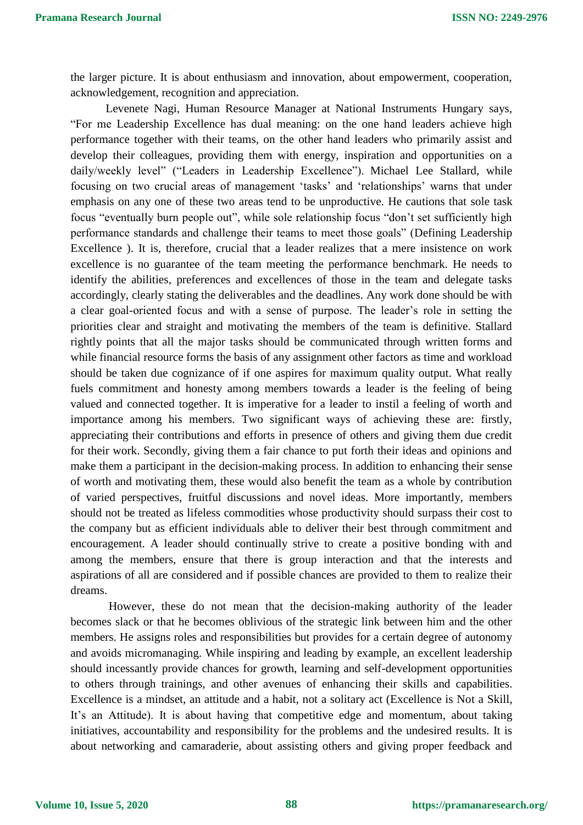the larger picture. It is about enthusiasm and innovation, about empowerment, cooperation, acknowledgement, recognition and appreciation.

Levenete Nagi, Human Resource Manager at National Instruments Hungary says, "For me Leadership Excellence has dual meaning: on the one hand leaders achieve high performance together with their teams, on the other hand leaders who primarily assist and develop their colleagues, providing them with energy, inspiration and opportunities on a daily/weekly level" ("Leaders in Leadership Excellence"). Michael Lee Stallard, while focusing on two crucial areas of management 'tasks' and 'relationships' warns that under emphasis on any one of these two areas tend to be unproductive. He cautions that sole task focus "eventually burn people out", while sole relationship focus "don't set sufficiently high performance standards and challenge their teams to meet those goals" (Defining Leadership Excellence ). It is, therefore, crucial that a leader realizes that a mere insistence on work excellence is no guarantee of the team meeting the performance benchmark. He needs to identify the abilities, preferences and excellences of those in the team and delegate tasks accordingly, clearly stating the deliverables and the deadlines. Any work done should be with a clear goal-oriented focus and with a sense of purpose. The leader's role in setting the priorities clear and straight and motivating the members of the team is definitive. Stallard rightly points that all the major tasks should be communicated through written forms and while financial resource forms the basis of any assignment other factors as time and workload should be taken due cognizance of if one aspires for maximum quality output. What really fuels commitment and honesty among members towards a leader is the feeling of being valued and connected together. It is imperative for a leader to instil a feeling of worth and importance among his members. Two significant ways of achieving these are: firstly, appreciating their contributions and efforts in presence of others and giving them due credit for their work. Secondly, giving them a fair chance to put forth their ideas and opinions and make them a participant in the decision-making process. In addition to enhancing their sense of worth and motivating them, these would also benefit the team as a whole by contribution of varied perspectives, fruitful discussions and novel ideas. More importantly, members should not be treated as lifeless commodities whose productivity should surpass their cost to the company but as efficient individuals able to deliver their best through commitment and encouragement. A leader should continually strive to create a positive bonding with and among the members, ensure that there is group interaction and that the interests and aspirations of all are considered and if possible chances are provided to them to realize their dreams.

However, these do not mean that the decision-making authority of the leader becomes slack or that he becomes oblivious of the strategic link between him and the other members. He assigns roles and responsibilities but provides for a certain degree of autonomy and avoids micromanaging. While inspiring and leading by example, an excellent leadership should incessantly provide chances for growth, learning and self-development opportunities to others through trainings, and other avenues of enhancing their skills and capabilities. Excellence is a mindset, an attitude and a habit, not a solitary act (Excellence is Not a Skill, It's an Attitude). It is about having that competitive edge and momentum, about taking initiatives, accountability and responsibility for the problems and the undesired results. It is about networking and camaraderie, about assisting others and giving proper feedback and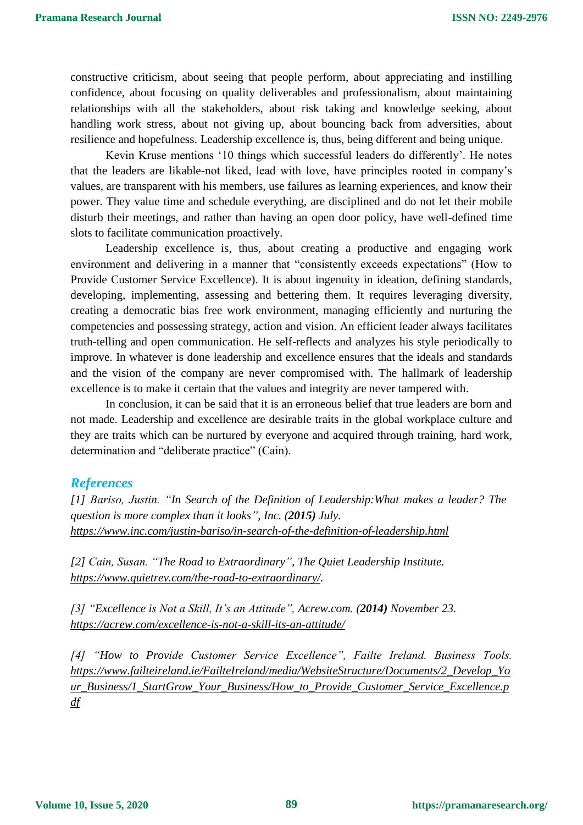constructive criticism, about seeing that people perform, about appreciating and instilling confidence, about focusing on quality deliverables and professionalism, about maintaining relationships with all the stakeholders, about risk taking and knowledge seeking, about handling work stress, about not giving up, about bouncing back from adversities, about resilience and hopefulness. Leadership excellence is, thus, being different and being unique.

Kevin Kruse mentions '10 things which successful leaders do differently'. He notes that the leaders are likable-not liked, lead with love, have principles rooted in company's values, are transparent with his members, use failures as learning experiences, and know their power. They value time and schedule everything, are disciplined and do not let their mobile disturb their meetings, and rather than having an open door policy, have well-defined time slots to facilitate communication proactively.

Leadership excellence is, thus, about creating a productive and engaging work environment and delivering in a manner that "consistently exceeds expectations" (How to Provide Customer Service Excellence). It is about ingenuity in ideation, defining standards, developing, implementing, assessing and bettering them. It requires leveraging diversity, creating a democratic bias free work environment, managing efficiently and nurturing the competencies and possessing strategy, action and vision. An efficient leader always facilitates truth-telling and open communication. He self-reflects and analyzes his style periodically to improve. In whatever is done leadership and excellence ensures that the ideals and standards and the vision of the company are never compromised with. The hallmark of leadership excellence is to make it certain that the values and integrity are never tampered with.

In conclusion, it can be said that it is an erroneous belief that true leaders are born and not made. Leadership and excellence are desirable traits in the global workplace culture and they are traits which can be nurtured by everyone and acquired through training, hard work, determination and "deliberate practice" (Cain).

### *References*

*[1] Bariso, Justin. "In Search of the Definition of Leadership:What makes a leader? The question is more complex than it looks", Inc. (2015) July. <https://www.inc.com/justin-bariso/in-search-of-the-definition-of-leadership.html>*

*[2] Cain, Susan. "The Road to Extraordinary", The Quiet Leadership Institute. [https://www.quietrev.com/the-road-to-extraordinary/.](https://www.quietrev.com/the-road-to-extraordinary/)*

*[3] "Excellence is Not a Skill, It's an Attitude", Acrew.com. (2014) November 23. <https://acrew.com/excellence-is-not-a-skill-its-an-attitude/>*

*[4] "How to Provide Customer Service Excellence", Failte Ireland. Business Tools. [https://www.failteireland.ie/FailteIreland/media/WebsiteStructure/Documents/2\\_Develop\\_Yo](https://www.failteireland.ie/FailteIreland/media/WebsiteStructure/Documents/2_Develop_Your_Business/1_StartGrow_Your_Business/How_to_Provide_Customer_Service_Excellence.pdf) [ur\\_Business/1\\_StartGrow\\_Your\\_Business/How\\_to\\_Provide\\_Customer\\_Service\\_Excellence.p](https://www.failteireland.ie/FailteIreland/media/WebsiteStructure/Documents/2_Develop_Your_Business/1_StartGrow_Your_Business/How_to_Provide_Customer_Service_Excellence.pdf) [df](https://www.failteireland.ie/FailteIreland/media/WebsiteStructure/Documents/2_Develop_Your_Business/1_StartGrow_Your_Business/How_to_Provide_Customer_Service_Excellence.pdf)*